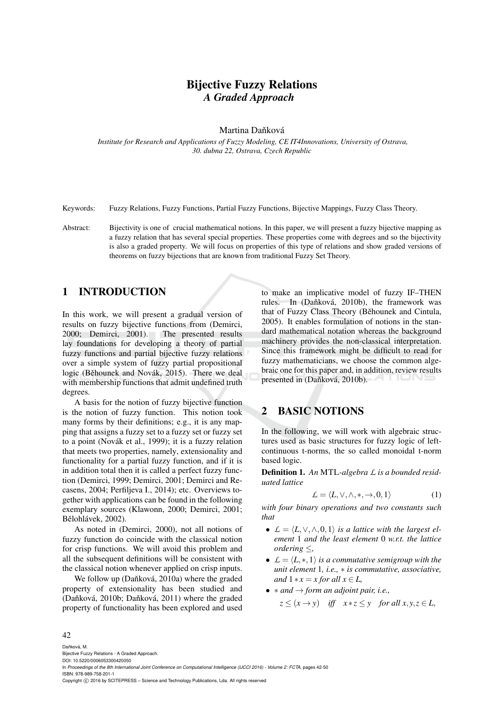# Bijective Fuzzy Relations *A Graded Approach*

Martina Daňková

*Institute for Research and Applications of Fuzzy Modeling, CE IT4Innovations, University of Ostrava, 30. dubna 22, Ostrava, Czech Republic*

Keywords: Fuzzy Relations, Fuzzy Functions, Partial Fuzzy Functions, Bijective Mappings, Fuzzy Class Theory.

Abstract: Bijectivity is one of crucial mathematical notions. In this paper, we will present a fuzzy bijective mapping as a fuzzy relation that has several special properties. These properties come with degrees and so the bijectivity is also a graded property. We will focus on properties of this type of relations and show graded versions of theorems on fuzzy bijections that are known from traditional Fuzzy Set Theory.

# 1 INTRODUCTION

In this work, we will present a gradual version of results on fuzzy bijective functions from (Demirci, 2000; Demirci, 2001). The presented results lay foundations for developing a theory of partial fuzzy functions and partial bijective fuzzy relations over a simple system of fuzzy partial propositional logic (Běhounek and Novák, 2015). There we deal with membership functions that admit undefined truth degrees.

A basis for the notion of fuzzy bijective function is the notion of fuzzy function. This notion took many forms by their definitions; e.g., it is any mapping that assigns a fuzzy set to a fuzzy set or fuzzy set to a point (Novák et al., 1999); it is a fuzzy relation that meets two properties, namely, extensionality and functionality for a partial fuzzy function, and if it is in addition total then it is called a perfect fuzzy function (Demirci, 1999; Demirci, 2001; Demirci and Recasens, 2004; Perfiljeva I., 2014); etc. Overviews together with applications can be found in the following exemplary sources (Klawonn, 2000; Demirci, 2001; Bělohlávek, 2002).

As noted in (Demirci, 2000), not all notions of fuzzy function do coincide with the classical notion for crisp functions. We will avoid this problem and all the subsequent definitions will be consistent with the classical notion whenever applied on crisp inputs.

We follow up (Daňková, 2010a) where the graded property of extensionality has been studied and  $(Dañková, 2010b; Dañková, 2011)$  where the graded property of functionality has been explored and used

to make an implicative model of fuzzy IF–THEN rules. In (Daňková, 2010b), the framework was that of Fuzzy Class Theory (Běhounek and Cintula, 2005). It enables formulation of notions in the standard mathematical notation whereas the background machinery provides the non-classical interpretation. Since this framework might be difficult to read for fuzzy mathematicians, we choose the common algebraic one for this paper and, in addition, review results presented in (Daňková, 2010b).

# 2 BASIC NOTIONS

In the following, we will work with algebraic structures used as basic structures for fuzzy logic of leftcontinuous t-norms, the so called monoidal t-norm based logic.

Definition 1. *An* MTL*-algebra L is a bounded residuated lattice*

$$
\mathcal{L} = \langle L, \vee, \wedge, *, \to, 0, 1 \rangle \tag{1}
$$

*with four binary operations and two constants such that*

- $\mathcal{L} = \langle L, \vee, \wedge, 0, 1 \rangle$  *is a lattice with the largest element* 1 *and the least element* 0 *w.r.t. the lattice ordering* ≤*,*
- $L = \langle L, *, 1 \rangle$  *is a commutative semigroup with the unit element* 1*, i.e.,* ∗ *is commutative, associative, and*  $1 * x = x$  *for all*  $x \in L$ ,
- ∗ *and* → *form an adjoint pair, i.e.,*  $z \leq (x \rightarrow y)$  *iff*  $x * z \leq y$  for all  $x, y, z \in L$ ,

#### 42

Daňková, M. Bijective Fuzzy Relations - A Graded Approach. DOI: 10.5220/0006053300420050 In *Proceedings of the 8th International Joint Conference on Computational Intelligence (IJCCI 2016) - Volume 2: FCTA*, pages 42-50 ISBN: 978-989-758-201-1 Copyright (C) 2016 by SCITEPRESS - Science and Technology Publications, Lda. All rights reserved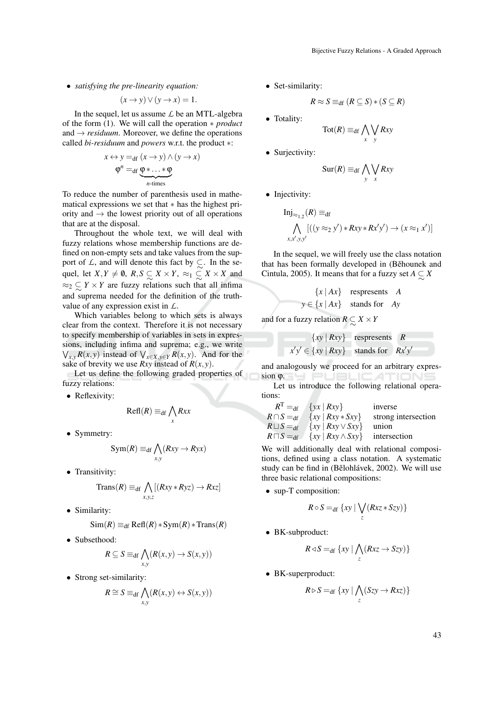• *satisfying the pre-linearity equation:*

$$
(x \to y) \lor (y \to x) = 1.
$$

In the sequel, let us assume *L* be an MTL-algebra of the form (1). We will call the operation ∗ *product* and  $\rightarrow$  *residuum*. Moreover, we define the operations called *bi-residuum* and *powers* w.r.t. the product ∗:

$$
x \leftrightarrow y =_{df} (x \to y) \land (y \to x)
$$

$$
\varphi^{n} =_{df} \underbrace{\varphi * \dots * \varphi}_{n \text{-times}}
$$

To reduce the number of parenthesis used in mathematical expressions we set that ∗ has the highest priority and  $\rightarrow$  the lowest priority out of all operations that are at the disposal.

Throughout the whole text, we will deal with fuzzy relations whose membership functions are defined on non-empty sets and take values from the support of *L*, and will denote this fact by  $\subsetneq$ . In the sequel, let  $X, Y \neq \emptyset$ ,  $R, S \subseteq X \times Y$ ,  $\approx_1 \subseteq X \times X$  and  $\approx_2$   $\subsetneq$  *Y* × *Y* are fuzzy relations such that all infima ∼ and suprema needed for the definition of the truthvalue of any expression exist in *L*.

Which variables belong to which sets is always clear from the context. Therefore it is not necessary to specify membership of variables in sets in expressions, including infima and suprema; e.g., we write  $\bigvee_{x,y} R(x, y)$  instead of  $\bigvee_{x \in X, y \in Y} R(x, y)$ . And for the sake of brevity we use *Rxy* instead of  $R(x, y)$ .

Let us define the following graded properties of fuzzy relations:

• Reflexivity:

$$
\text{Refl}(R) \equiv_{\text{df}} \bigwedge_{x} Rxx
$$

• Symmetry:

$$
Sym(R) \equiv_{\text{df}} \bigwedge_{x,y} (Rxy \rightarrow Ryx)
$$

• Transitivity:

$$
\text{Trans}(R) \equiv_{\text{df}} \bigwedge_{x,y,z} [(Rxy * Ryz) \to Rxz]
$$

• Similarity:

$$
Sim(R) \equiv_{\text{df}} \text{Refl}(R) * Sym(R) * Trans(R)
$$

• Subsethood:

$$
R \subseteq S \equiv_{\text{df}} \bigwedge_{x,y} (R(x,y) \to S(x,y))
$$

• Strong set-similarity:

$$
R \cong S \equiv_{\text{df}} \bigwedge_{x,y} (R(x,y) \leftrightarrow S(x,y))
$$

• Set-similarity:

$$
R \approx S \equiv_{\mathrm{df}} (R \subseteq S) * (S \subseteq R)
$$

- Totality:
- $\mathrm{Tot}(R) \equiv_{\mathrm{df}} \bigwedge_{x}$  $\setminus$ *y Rxy*
- Surjectivity:

$$
\operatorname{Sur}(R) \equiv_{\text{df}} \bigwedge_{y} \bigvee_{x} Rxy
$$

• Injectivity:

$$
\text{Inj}_{\approx_{1,2}}(R) \equiv_{\text{df}}
$$
  

$$
\bigwedge_{x,x',y,y'} [(y \approx_2 y') * Rxy * Rx'y') \rightarrow (x \approx_1 x')]
$$

In the sequel, we will freely use the class notation that has been formally developed in (Běhounek and Cintula, 2005). It means that for a fuzzy set  $A \subseteq X$ ∼

$$
\{x \mid Ax\} \quad \text{respresents} \quad A
$$

$$
y \in \{x \mid Ax\} \quad \text{stands for} \quad Ay
$$

and for a fuzzy relation  $R \subseteq X \times Y$ 

{
$$
xy | Rxy
$$
}   
  $x'y' \in \{xy | Rxy\}$  stands for  $Rx'y'$ 

and analogously we proceed for an arbitrary expression Q. SH PUBLIC ATIONS

Let us introduce the following relational operations:

$$
RT =df {yx | Rxy} inverse\nR1 =df {xy | Rxy * Sxy} strong intersection\nR1 =df {xy | Rxy ∨ Sxy} union\nR1 =df {xy | Rxy ∧ Sxy} intersection
$$

We will additionally deal with relational compositions, defined using a class notation. A systematic study can be find in (Bělohlávek, 2002). We will use three basic relational compositions:

• sup-T composition:

$$
R \circ S =_{\text{df}} \{ xy \mid \bigvee_z (Rxz * Szy) \}
$$

• BK-subproduct:

$$
R \triangleleft S =_{\text{df}} \{ xy \mid \bigwedge_{z} (Rxz \to Szy) \}
$$

• BK-superproduct:

$$
R \triangleright S =_{\text{df}} \{ xy \mid \bigwedge_{z} (Szy \rightarrow Rxz) \}
$$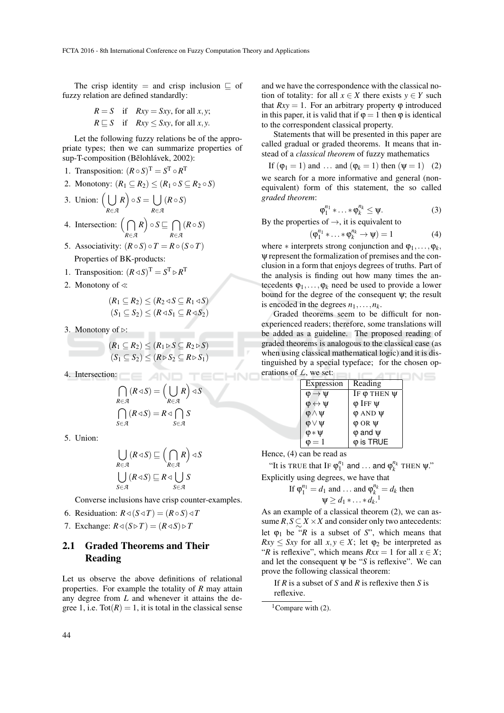The crisp identity = and crisp inclusion  $\subseteq$  of fuzzy relation are defined standardly:

$$
R = S \quad \text{if} \quad Rxy = Sxy, \text{ for all } x, y;
$$
  

$$
R \sqsubseteq S \quad \text{if} \quad Rxy \leq Sxy, \text{ for all } x, y.
$$

Let the following fuzzy relations be of the appropriate types; then we can summarize properties of sup-T-composition (Bělohlávek, 2002):

- 1. Transposition:  $(R \circ S)^T = S^T \circ R^T$
- 2. Monotony:  $(R_1 \subseteq R_2) \le (R_1 \circ S \subseteq R_2 \circ S)$

3. Union: 
$$
\left(\bigcup_{R \in \mathcal{A}} R\right) \circ S = \bigcup_{R \in \mathcal{A}} (R \circ S)
$$

4. Intersection: 
$$
\left(\bigcap_{R \in \mathcal{A}} R\right) \circ S \sqsubseteq \bigcap_{R \in \mathcal{A}} (R \circ S)
$$

- 5. Associativity:  $(R \circ S) \circ T = R \circ (S \circ T)$ Properties of BK-products:
- 1. Transposition:  $(R \triangleleft S)^T = S^T \triangleright R^T$
- 2. Monotony of  $\triangleleft$ :

$$
(R_1 \subseteq R_2) \le (R_2 \triangleleft S \subseteq R_1 \triangleleft S)
$$
  

$$
(S_1 \subseteq S_2) \le (R \triangleleft S_1 \subseteq R \triangleleft S_2)
$$

3. Monotony of  $\triangleright$ :

$$
(R_1 \subseteq R_2) \le (R_1 \triangleright S \subseteq R_2 \triangleright S)
$$
  

$$
(S_1 \subseteq S_2) \le (R \triangleright S_2 \subseteq R \triangleright S_1)
$$

4. Intersection:

$$
\bigcap_{R \in \mathcal{A}} (R \triangleleft S) = \left(\bigcup_{R \in \mathcal{A}} R\right) \triangleleft S
$$
\n
$$
\bigcap_{S \in \mathcal{A}} (R \triangleleft S) = R \triangleleft \bigcap_{S \in \mathcal{A}} S
$$

5. Union:

$$
\bigcup_{R \in \mathcal{A}} (R \triangleleft S) \sqsubseteq \left(\bigcap_{R \in \mathcal{A}} R\right) \triangleleft S
$$
  

$$
\bigcup_{S \in \mathcal{A}} (R \triangleleft S) \sqsubseteq R \triangleleft \bigcup_{S \in \mathcal{A}} S
$$

Converse inclusions have crisp counter-examples.

- 6. Residuation:  $R \triangleleft (S \triangleleft T) = (R \circ S) \triangleleft T$
- 7. Exchange:  $R \triangleleft (S \triangleright T) = (R \triangleleft S) \triangleright T$

# 2.1 Graded Theorems and Their Reading

Let us observe the above definitions of relational properties. For example the totality of *R* may attain any degree from *L* and whenever it attains the degree 1, i.e.  $\text{Tot}(R) = 1$ , it is total in the classical sense and we have the correspondence with the classical notion of totality: for all  $x \in X$  there exists  $y \in Y$  such that  $Rxy = 1$ . For an arbitrary property  $\varphi$  introduced in this paper, it is valid that if  $\varphi = 1$  then  $\varphi$  is identical to the correspondent classical property.

Statements that will be presented in this paper are called gradual or graded theorems. It means that instead of a *classical theorem* of fuzzy mathematics

If  $(\varphi_1 = 1)$  and ... and  $(\varphi_k = 1)$  then  $(\psi = 1)$  (2) we search for a more informative and general (nonequivalent) form of this statement, the so called *graded theorem*:

$$
\varphi_1^{n_1} * \ldots * \varphi_k^{n_k} \leq \psi.
$$
 (3)

By the properties of  $\rightarrow$ , it is equivalent to

$$
(\varphi_1^{n_1} * \ldots * \varphi_k^{n_k} \to \psi) = 1 \tag{4}
$$

where  $*$  interprets strong conjunction and  $\varphi_1, \ldots, \varphi_k$ , ψ represent the formalization of premises and the conclusion in a form that enjoys degrees of truths. Part of the analysis is finding out how many times the antecedents  $\varphi_1, \ldots, \varphi_k$  need be used to provide a lower bound for the degree of the consequent  $\psi$ ; the result is encoded in the degrees  $n_1, \ldots, n_k$ .

Graded theorems seem to be difficult for nonexperienced readers; therefore, some translations will be added as a guideline. The proposed reading of graded theorems is analogous to the classical case (as when using classical mathematical logic) and it is distinguished by a special typeface; for the chosen operations of *L*, we set:

|  | Expression                  | Reading               |
|--|-----------------------------|-----------------------|
|  | $\varphi \rightarrow \psi$  | IF $\phi$ THEN $\psi$ |
|  | $\phi \leftrightarrow \psi$ | $\varphi$ Iff $\psi$  |
|  | $\phi \wedge \psi$          | $\varphi$ AND $\psi$  |
|  | $\phi \vee \psi$            | $\varphi$ OR $\psi$   |
|  | $\varphi * \psi$            | $\varphi$ and $\psi$  |
|  | $\mathbf{0} = 1$            | $\varphi$ is TRUE     |

Hence, (4) can be read as

"It is TRUE that IF  $\varphi_1^{n_1}$  and ... and  $\varphi_k^{n_k}$  THEN  $\psi$ ." Explicitly using degrees, we have that

If 
$$
\varphi_1^{n_1} = d_1
$$
 and ... and  $\varphi_k^{n_k} = d_k$  then  
\n $\Psi \ge d_1 * \ldots * d_k$ .<sup>1</sup>

As an example of a classical theorem (2), we can assume  $R$ ,  $S \subseteq X \times X$  and consider only two antecedents: let  $\varphi_1$  be  $\tilde{f}$  is a subset of *S*", which means that  $Rxy \leq Sxy$  for all  $x, y \in X$ ; let  $\varphi_2$  be interpreted as "*R* is reflexive", which means  $Rxx = 1$  for all  $x \in X$ ; and let the consequent  $\psi$  be "*S* is reflexive". We can prove the following classical theorem:

If *R* is a subset of *S* and *R* is reflexive then *S* is reflexive.

<sup>&</sup>lt;sup>1</sup>Compare with  $(2)$ .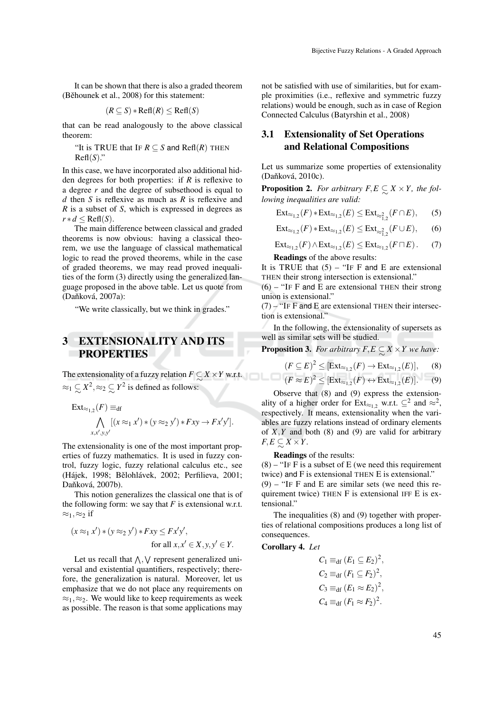It can be shown that there is also a graded theorem (Běhounek et al., 2008) for this statement:

$$
(R \subseteq S) * \text{Refl}(R) \le \text{Refl}(S)
$$

that can be read analogously to the above classical theorem:

"It is TRUE that IF  $R \subset S$  and Refl(*R*) THEN  $\text{Refl}(S)$ ."

In this case, we have incorporated also additional hidden degrees for both properties: if *R* is reflexive to a degree *r* and the degree of subsethood is equal to *d* then *S* is reflexive as much as *R* is reflexive and *R* is a subset of *S*, which is expressed in degrees as  $r * d \leq \text{Refl}(S)$ .

The main difference between classical and graded theorems is now obvious: having a classical theorem, we use the language of classical mathematical logic to read the proved theorems, while in the case of graded theorems, we may read proved inequalities of the form (3) directly using the generalized language proposed in the above table. Let us quote from (Daňková, 2007a):

"We write classically, but we think in grades."

# 3 EXTENSIONALITY AND ITS **PROPERTIES**

The extensionality of a fuzzy relation  $F \subsetneq X \times Y$  w.r.t. ∼  $\approx_1$   $\lesssim$  $X^2, \approx_2 \subsetneq$ *Y* 2 is defined as follows:

$$
\operatorname{Ext}_{\approx_{1,2}}(F) \equiv_{\text{df}} \bigwedge_{x,x',y,y'} [(x \approx_1 x') * (y \approx_2 y') * Fxy \rightarrow Fx'y'].
$$

The extensionality is one of the most important properties of fuzzy mathematics. It is used in fuzzy control, fuzzy logic, fuzzy relational calculus etc., see (Hájek, 1998; Bělohlávek, 2002; Perfilieva, 2001; Daňková, 2007b).

This notion generalizes the classical one that is of the following form: we say that  $F$  is extensional w.r.t.  $\approx_1, \approx_2$  if

$$
(x \approx_1 x') * (y \approx_2 y') * Fxy \leq Fx'y',
$$
  
for all  $x, x' \in X, y, y' \in Y.$ 

Let us recall that  $\bigwedge$ ,  $\bigvee$  represent generalized universal and existential quantifiers, respectively; therefore, the generalization is natural. Moreover, let us emphasize that we do not place any requirements on  $\approx_1$ ,  $\approx_2$ . We would like to keep requirements as week as possible. The reason is that some applications may

not be satisfied with use of similarities, but for example proximities (i.e., reflexive and symmetric fuzzy relations) would be enough, such as in case of Region Connected Calculus (Batyrshin et al., 2008)

### 3.1 Extensionality of Set Operations and Relational Compositions

Let us summarize some properties of extensionality (Daňková, 2010c).

**Proposition 2.** For arbitrary  $F, E \subseteq X \times Y$ , the fol-<br>lowing inequalities are valid: *lowing inequalities are valid:*

$$
\operatorname{Ext}_{\approx_{1,2}}(F) * \operatorname{Ext}_{\approx_{1,2}}(E) \le \operatorname{Ext}_{\approx_{1,2}^2}(F \cap E), \qquad (5)
$$

 $\text{Ext}_{\approx_{1,2}}(F) * \text{Ext}_{\approx_{1,2}}(E) \leq \text{Ext}_{\approx_{1,2}^{2}}(F \cup E),$  (6)

$$
\operatorname{Ext}_{\approx_{1,2}}(F) \wedge \operatorname{Ext}_{\approx_{1,2}}(E) \leq \operatorname{Ext}_{\approx_{1,2}}(F \sqcap E). \tag{7}
$$

Readings of the above results:

It is TRUE that  $(5)$  – "IF F and E are extensional THEN their strong intersection is extensional."

 $(6)$  – "IF F and E are extensional THEN their strong union is extensional."

 $(7)$  – "IF F and E are extensional THEN their intersection is extensional."

In the following, the extensionality of supersets as well as similar sets will be studied.

**Proposition 3.** For arbitrary  $F, E \subseteq X \times Y$  we have:

$$
(F \subseteq E)^2 \leq [\text{Ext}_{\approx_{1,2}}(F) \to \text{Ext}_{\approx_{1,2}}(E)], \quad (8)
$$

$$
(F \approx E)^2 \leq [\text{Ext}_{\approx_{1,2}}(F) \leftrightarrow \text{Ext}_{\approx_{1,2}}(E)].
$$
 (9)

Observe that (8) and (9) express the extensionality of a higher order for  $Ext_{\approx 1,2}$  w.r.t.  $\subseteq^2$  and  $\approx^2$ , respectively. It means, extensionality when the variables are fuzzy relations instead of ordinary elements of  $X, Y$  and both (8) and (9) are valid for arbitrary  $F, E \subsetneq X \times Y$ .

∼ Readings of the results:

 $(8)$  – "IF F is a subset of E (we need this requirement twice) and F is extensional THEN E is extensional."  $(9)$  – "IF F and E are similar sets (we need this requirement twice) THEN F is extensional IFF E is extensional."

The inequalities (8) and (9) together with properties of relational compositions produces a long list of consequences.

Corollary 4. *Let*

$$
C_1 \equiv_{\text{df}} (E_1 \subseteq E_2)^2,
$$
  
\n
$$
C_2 \equiv_{\text{df}} (F_1 \subseteq F_2)^2,
$$
  
\n
$$
C_3 \equiv_{\text{df}} (E_1 \approx E_2)^2,
$$
  
\n
$$
C_4 \equiv_{\text{df}} (F_1 \approx F_2)^2.
$$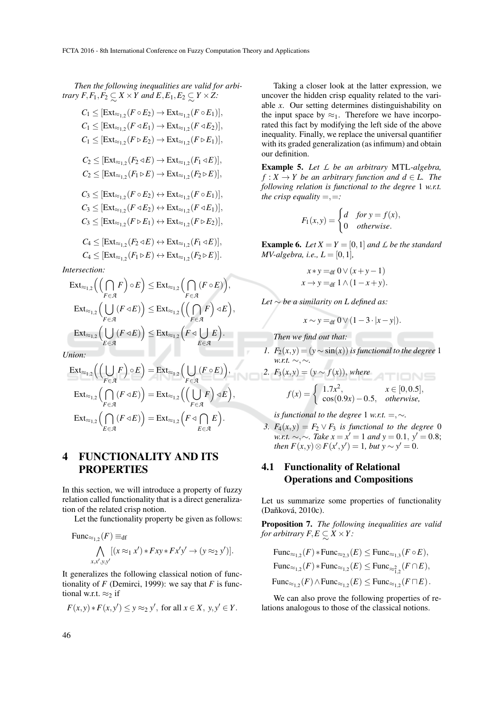*Then the following inequalities are valid for arbitrary*  $F, F_1, F_2 \subseteq X \times Y$  and  $E, E_1, E_2 \subseteq Y \times Z$ :

 $C_1 \leq [\text{Ext}_{\approx_{1,2}}(F \circ E_2) \rightarrow \text{Ext}_{\approx_{1,2}}(F \circ E_1)],$  $C_1 \leq [\text{Ext}_{\approx_{1,2}}(F \triangleleft E_1) \rightarrow \text{Ext}_{\approx_{1,2}}(F \triangleleft E_2)],$  $C_1 \leq [\text{Ext}_{\approx_{1,2}}(F \triangleright E_2) \rightarrow \text{Ext}_{\approx_{1,2}}(F \triangleright E_1)],$  $C_2 \leq [\text{Ext}_{\approx_{1,2}}(F_2 \triangleleft E) \rightarrow \text{Ext}_{\approx_{1,2}}(F_1 \triangleleft E)],$  $C_2 \leq [\text{Ext}_{\approx_{1,2}}(F_1 \triangleright E) \rightarrow \text{Ext}_{\approx_{1,2}}(F_2 \triangleright E)],$  $C_3 \leq [\text{Ext}_{\approx_{1,2}}(F \circ E_2) \leftrightarrow \text{Ext}_{\approx_{1,2}}(F \circ E_1)],$  $C_3 \leq [\text{Ext}_{\approx_{1,2}}(F \triangleleft E_2) \leftrightarrow \text{Ext}_{\approx_{1,2}}(F \triangleleft E_1)],$  $C_3 \leq [\text{Ext}_{\approx_{1,2}}(F \triangleright E_1) \leftrightarrow \text{Ext}_{\approx_{1,2}}(F \triangleright E_2)],$ 

$$
C_4 \leq [\text{Ext}_{\approx_{1,2}}(F_2 \triangleleft E) \leftrightarrow \text{Ext}_{\approx_{1,2}}(F_1 \triangleleft E)],
$$
  

$$
C_4 \leq [\text{Ext}_{\approx_{1,2}}(F_1 \triangleright E) \leftrightarrow \text{Ext}_{\approx_{1,2}}(F_2 \triangleright E)].
$$

*Intersection:*

$$
\operatorname{Ext}_{\approx_{1,2}}\left(\left(\bigcap_{F\in\mathcal{A}} F\right)\circ E\right) \leq \operatorname{Ext}_{\approx_{1,2}}\left(\bigcap_{F\in\mathcal{A}} (F\circ E)\right),
$$
\n
$$
\operatorname{Ext}_{\approx_{1,2}}\left(\bigcup_{F\in\mathcal{A}} (F\triangleleft E)\right) \leq \operatorname{Ext}_{\approx_{1,2}}\left(\left(\bigcap_{F\in\mathcal{A}} F\right)\triangleleft E\right),
$$
\n
$$
\operatorname{Ext}_{\approx_{1,2}}\left(\bigcup_{E\in\mathcal{A}} (F\triangleleft E)\right) \leq \operatorname{Ext}_{\approx_{1,2}}\left(F\triangleleft\bigcup_{E\in\mathcal{A}} E\right).
$$
\nnon:

*Union:*

$$
\operatorname{Ext}_{\approx_{1,2}}\left(\left(\bigcup_{F \in \mathcal{A}} F\right) \circ E\right) = \operatorname{Ext}_{\approx_{1,2}}\left(\bigcup_{F \in \mathcal{A}} (F \circ E)\right),
$$
\n
$$
\operatorname{Ext}_{\approx_{1,2}}\left(\bigcap_{F \in \mathcal{A}} (F \triangleleft E)\right) = \operatorname{Ext}_{\approx_{1,2}}\left(\left(\bigcup_{F \in \mathcal{A}} F\right) \triangleleft E\right),
$$
\n
$$
\operatorname{Ext}_{\approx_{1,2}}\left(\bigcap_{E \in \mathcal{A}} (F \triangleleft E)\right) = \operatorname{Ext}_{\approx_{1,2}}\left(F \triangleleft \bigcap_{E \in \mathcal{A}} E\right).
$$

# 4 FUNCTIONALITY AND ITS **PROPERTIES**

In this section, we will introduce a property of fuzzy relation called functionality that is a direct generalization of the related crisp notion.

Let the functionality property be given as follows:

Func<sub>$$
\approx
$$
1,2</sub>(F)  $\equiv$ df  
\n
$$
\bigwedge_{x,x',y,y'} [(x \approx_1 x') * Fxy * Fx'y' \rightarrow (y \approx_2 y')].
$$

It generalizes the following classical notion of functionality of  $F$  (Demirci, 1999): we say that  $F$  is functional w.r.t.  $\approx_2$  if

$$
F(x,y) * F(x,y') \le y \approx_2 y', \text{ for all } x \in X, y, y' \in Y.
$$

Taking a closer look at the latter expression, we uncover the hidden crisp equality related to the variable *x*. Our setting determines distinguishability on the input space by  $\approx_1$ . Therefore we have incorporated this fact by modifying the left side of the above inequality. Finally, we replace the universal quantifier with its graded generalization (as infimum) and obtain our definition.

Example 5. *Let L be an arbitrary* MTL*-algebra,*  $f: X \to Y$  *be an arbitrary function and*  $d \in L$ *. The following relation is functional to the degree* 1 *w.r.t. the crisp equality*  $=$ ,  $=$ *:* 

$$
F_1(x, y) = \begin{cases} d & \text{for } y = f(x), \\ 0 & \text{otherwise.} \end{cases}
$$

**Example 6.** *Let*  $X = Y = [0, 1]$  *and*  $\angle$  *be the standard*  $MV\text{-}algebra, i.e., L = [0,1],$ 

$$
x * y =_{df} 0 \vee (x + y - 1)
$$
  

$$
x \rightarrow y =_{df} 1 \wedge (1 - x + y).
$$

*Let* ∼ *be a similarity on L defined as:*

$$
x \sim y =_{\text{df}} 0 \vee (1 - 3 \cdot |x - y|).
$$

*Then we find out that:*

*1.*  $F_2(x, y) = (y \sim \sin(x))$  *is functional to the degree* 1 *w.r.t.* ∼,∼*.*

2. 
$$
F_3(x, y) = (y \sim f(x)), \text{ where}
$$
  

$$
f(x) = \begin{cases} 1.7x^2, & x \in [0, 0.5], \\ \cos(0.9x) - 0.5, & \text{otherwise}, \end{cases}
$$

*is functional to the degree* 1 *w.r.t.* =,  $\sim$ .

*3.*  $F_4(x, y) = F_2 \vee F_3$  *is functional to the degree* 0 *w.r.t.* ∼, ∼*. Take*  $x = x' = 1$  *and y* = 0.1,  $y' = 0.8$ ; *then*  $F(x, y) \otimes F(x', y') = 1$ *, but*  $y \sim y' = 0$ .

# 4.1 Functionality of Relational Operations and Compositions

Let us summarize some properties of functionality (Daňková, 2010c).

Proposition 7. *The following inequalities are valid for arbitrary*  $F, E \subseteq X \times Y$ *:* 

$$
\begin{aligned} &\mathrm{Func}_{\approx_{1,2}}(F) * \mathrm{Func}_{\approx_{2,3}}(E) \leq \mathrm{Func}_{\approx_{1,3}}(F \circ E), \\ &\mathrm{Func}_{\approx_{1,2}}(F) * \mathrm{Func}_{\approx_{1,2}}(E) \leq \mathrm{Func}_{\approx_{1,2}^2}(F \cap E), \\ &\mathrm{Func}_{\approx_{1,2}}(F) \land \mathrm{Func}_{\approx_{1,2}}(E) \leq \mathrm{Func}_{\approx_{1,2}}(F \sqcap E). \end{aligned}
$$

We can also prove the following properties of relations analogous to those of the classical notions.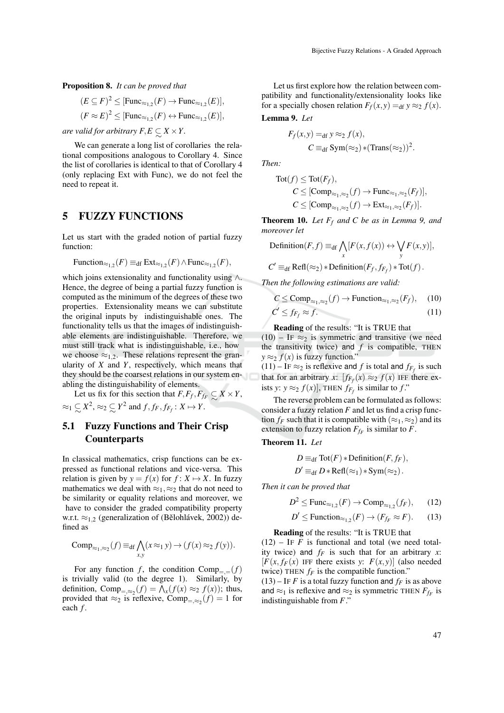Proposition 8. *It can be proved that*

$$
(E \subseteq F)^2 \leq [\text{Func}_{\approx_{1,2}}(F) \to \text{Func}_{\approx_{1,2}}(E)],
$$
  

$$
(F \approx E)^2 \leq [\text{Func}_{\approx_{1,2}}(F) \leftrightarrow \text{Func}_{\approx_{1,2}}(E)],
$$

*are valid for arbitrary F*,*E* ⊂ ∼ *X* ×*Y .*

We can generate a long list of corollaries the relational compositions analogous to Corollary 4. Since the list of corollaries is identical to that of Corollary 4 (only replacing Ext with Func), we do not feel the need to repeat it.

#### 5 FUZZY FUNCTIONS

Let us start with the graded notion of partial fuzzy function:

Function<sub>$$
\approx_{1,2}
$$</sub>(F)  $\equiv_{df}$  Ext <sub>$\approx_{1,2}$</sub> (F)  $\wedge$ Func <sub>$\approx_{1,2}$</sub> (F),

which joins extensionality and functionality using  $\wedge$ . Hence, the degree of being a partial fuzzy function is computed as the minimum of the degrees of these two properties. Extensionality means we can substitute the original inputs by indistinguishable ones. The functionality tells us that the images of indistinguishable elements are indistinguishable. Therefore, we must still track what is indistinguishable, i.e., how we choose  $\approx_{1,2}$ . These relations represent the granularity of *X* and *Y*, respectively, which means that they should be the coarsest relations in our system enabling the distinguishability of elements.

Let us fix for this section that  $F, F_f, F_{f_f} \subseteq X \times Y$ ,<br> $\subseteq Y^2 \times \subseteq Y^2$  and  $f, f, g \in Y \times Y$  $≈_1$   $\subsetneq$  $X^2, \approx_2 \mathop{\subset}\limits_{\sim}$  $Y^2$  and  $f, f_F, f_{F_f}: X \mapsto Y$ .

# 5.1 Fuzzy Functions and Their Crisp **Counterparts**

In classical mathematics, crisp functions can be expressed as functional relations and vice-versa. This relation is given by  $y = f(x)$  for  $f: X \mapsto X$ . In fuzzy mathematics we deal with  $\approx_1, \approx_2$  that do not need to be similarity or equality relations and moreover, we have to consider the graded compatibility property w.r.t.  $\approx$ <sub>1,2</sub> (generalization of (Bělohlávek, 2002)) defined as

Comp<sub>$$
\approx_1
$$
, $\approx_2$</sub>  $(f)$   $\equiv_{df}$   $\bigwedge_{x,y}$   $(x \approx_1 y) \rightarrow (f(x) \approx_2 f(y))$ .

For any function *f*, the condition  $Comp_{==}(f)$ is trivially valid (to the degree 1). Similarly, by definition, Comp<sub>=,≈2</sub>( $f$ ) =  $\Lambda_x(f(x) \approx_2 f(x))$ ; thus, provided that  $\approx_2$  is reflexive, Comp<sub>=, $\approx_2$ </sub> $(f) = 1$  for each *f* .

Let us first explore how the relation between compatibility and functionality/extensionality looks like for a specially chosen relation  $F_f(x, y) =$ def  $y \approx_2 f(x)$ . Lemma 9. *Let*

> $F_f(x, y) =$ df  $y \approx_2 f(x)$ ,  $C \equiv_{\text{df}} \text{Sym}(\approx_2) * (\text{Trans}(\approx_2))^2$ .

*Then:*

$$
Tot(f) \leq Tot(F_f),
$$
  
\n
$$
C \leq [Comp_{\approx_1, \approx_2}(f) \to Func_{\approx_1, \approx_2}(F_f)],
$$
  
\n
$$
C \leq [Comp_{\approx_1, \approx_2}(f) \to Ext_{\approx_1, \approx_2}(F_f)].
$$

Theorem 10. *Let F<sup>f</sup> and C be as in Lemma 9, and moreover let*

Definition 
$$
(F, f)
$$
  $\equiv_{df} \bigwedge_x [F(x, f(x)) \leftrightarrow \bigvee_y F(x, y)],$   
\n $C' \equiv_{df} \text{Refl}(\approx_2) * \text{Definition}(F_f, f_{F_f}) * \text{Tot}(f).$ 

*Then the following estimations are valid:*

$$
C \leq \text{Comp}_{\approx_1, \approx_2}(f) \to \text{Function}_{\approx_1, \approx_2}(F_f), \quad (10)
$$
  

$$
C' \leq f_{F_f} \approx f. \tag{11}
$$

Reading of the results: "It is TRUE that

(10) – IF  $\approx_2$  is symmetric and transitive (we need the transitivity twice) and  $f$  is compatible, THEN  $y \approx_2 f(x)$  is fuzzy function."

 $(11)$  – IF  $\approx_2$  is reflexive and *f* is total and  $f_{F_f}$  is such that for an arbitrary *x*:  $[f_{F_f}(x) \approx_2 f(x)]$  IFF there exists *y*:  $y \approx_2 f(x)$ , THEN  $f_{F_f}$  is similar to  $f$ ."

The reverse problem can be formulated as follows: consider a fuzzy relation *F* and let us find a crisp function  $f_F$  such that it is compatible with  $(\approx_1, \approx_2)$  and its extension to fuzzy relation  $F_{f_F}$  is similar to  $F$ .

Theorem 11. *Let*

$$
D \equiv_{\text{df}} \text{Tot}(F) * \text{Definition}(F, f_F),
$$
  

$$
D' \equiv_{\text{df}} D * \text{Refl}(\approx_1) * \text{Sym}(\approx_2).
$$

*Then it can be proved that*

$$
D^2 \leq \text{Func}_{\approx_{1,2}}(F) \to \text{Comp}_{\approx_{1,2}}(f_F), \qquad (12)
$$

$$
D' \leq \text{Function}_{\approx_{1,2}}(F) \to (F_{f_F} \approx F). \tag{13}
$$

Reading of the results: "It is TRUE that

 $(12)$  – IF *F* is functional and total (we need totality twice) and *f<sup>F</sup>* is such that for an arbitrary *x*:  $[F(x, f_F(x))]$  IFF there exists *y*:  $F(x, y)$  (also needed twice) THEN  $f_F$  is the compatible function."

 $(13)$  – IF *F* is a total fuzzy function and  $f_F$  is as above and  $\approx_1$  is reflexive and  $\approx_2$  is symmetric THEN  $F_{f_F}$  is indistinguishable from *F*."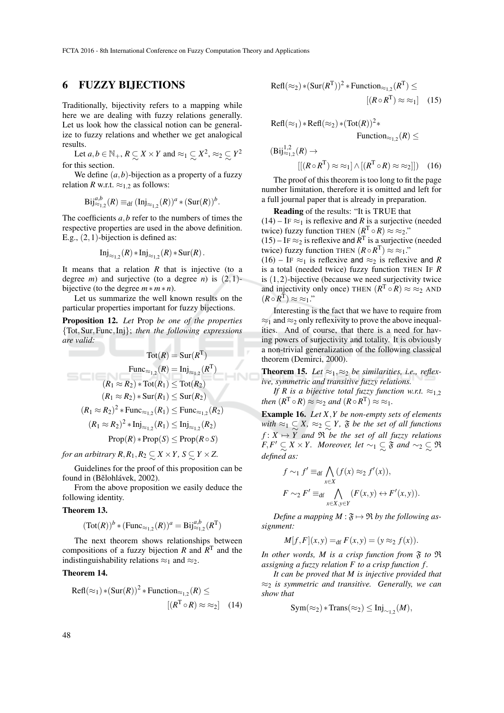### 6 FUZZY BIJECTIONS

Traditionally, bijectivity refers to a mapping while here we are dealing with fuzzy relations generally. Let us look how the classical notion can be generalize to fuzzy relations and whether we get analogical results.

Let  $a, b \in \mathbb{N}_+$ ,  $R \subseteq X \times Y$  and  $\approx_1 \subseteq$ <br>this section  $X^2, \approx_2 \mathbb{Z}$ *Y* 2 for this section.

We define  $(a, b)$ -bijection as a property of a fuzzy relation *R* w.r.t.  $\approx$ <sub>1.2</sub> as follows:

$$
\mathrm{Bij}^{a,b}_{\approx 1,2}(R) \equiv_{\mathrm{df}} (\mathrm{Inj}_{\approx 1,2}(R))^a \ast (\mathrm{Sur}(R))^b.
$$

The coefficients *a*,*b* refer to the numbers of times the respective properties are used in the above definition. E.g.,  $(2,1)$ -bijection is defined as:

$$
\mathrm{Inj}_{\approx_{1,2}}(R) * \mathrm{Inj}_{\approx_{1,2}}(R) * \mathrm{Sur}(R).
$$

It means that a relation *R* that is injective (to a degree *m*) and surjective (to a degree *n*) is  $(2,1)$ bijective (to the degree *m*∗*m*∗ *n*).

Let us summarize the well known results on the particular properties important for fuzzy bijections.

Proposition 12. *Let* Prop *be one of the properties* {Tot,Sur,Func,Inj}; *then the following expressions are valid:*

$$
\text{Tot}(R) = \text{Sur}(R^{\text{T}})
$$
  
\n
$$
\text{Func}_{\approx_{1,2}}(R) = \text{Inj}_{\approx_{1,2}}(R^{\text{T}})
$$
  
\n
$$
(R_1 \approx R_2) * \text{Tot}(R_1) \le \text{Tot}(R_2)
$$
  
\n
$$
(R_1 \approx R_2) * \text{Sur}(R_1) \le \text{Sur}(R_2)
$$
  
\n
$$
(R_1 \approx R_2)^2 * \text{Func}_{\approx_{1,2}}(R_1) \le \text{Func}_{\approx_{1,2}}(R_2)
$$
  
\n
$$
(R_1 \approx R_2)^2 * \text{Inj}_{\approx_{1,2}}(R_1) \le \text{Inj}_{\approx_{1,2}}(R_2)
$$
  
\n
$$
\text{Prop}(R) * \text{Prop}(S) \le \text{Prop}(R \circ S)
$$

*for an arbitrary R,R*<sub>1</sub>,*R*<sub>2</sub>  $\subsetsim X \times Y$ *, S*  $\subsetsim Y \times Z$ .

∼ ∼ Guidelines for the proof of this proposition can be found in (Bělohlávek, 2002).

From the above proposition we easily deduce the following identity.

#### Theorem 13.

$$
(\operatorname{Tot}(R))^b*(\operatorname{Func}_{\approx_{1,2}}(R))^a=\operatorname{Bij}^{a,b}_{\approx_{1,2}}(R^{\mathrm T})
$$

The next theorem shows relationships between compositions of a fuzzy bijection  $R$  and  $R<sup>T</sup>$  and the indistinguishability relations  $\approx_1$  and  $\approx_2$ .

#### Theorem 14.

$$
Refl(\approx_1) * (Sur(R))^2 * Function_{\approx_{1,2}}(R) \le
$$

$$
[(R^T \circ R) \approx \approx_2] \quad (14)
$$

$$
Refl(\approx_2) * (Sur(R^T))^2 * Function_{\approx_{1,2}}(R^T) \le
$$
  
 
$$
[(R \circ R^T) \approx \approx_1] \quad (15)
$$

$$
Refl(\approx_1) * Refl(\approx_2) * (Tot(R))^2 *
$$
  
Function <sub>$\approx_{1,2}$</sub> (R)  $\le$   

$$
(Bij_{\approx_{1,2}}^{1,2}(R) \to
$$
  

$$
[[(R \circ R^T) \approx \approx_1] \wedge [(R^T \circ R) \approx \approx_2]] (16)
$$

The proof of this theorem is too long to fit the page number limitation, therefore it is omitted and left for a full journal paper that is already in preparation.

Reading of the results: "It is TRUE that  $(14)$  – IF  $\approx_1$  is reflexive and *R* is a surjective (needed twice) fuzzy function THEN  $(R^T \circ R) \approx \approx_2$ ."  $(15)$  – IF ≈2 is reflexive and  $R<sup>T</sup>$  is a surjective (needed

twice) fuzzy function THEN  $(R \circ R^{T}) \approx \approx_1$ ."

(16) – IF  $\approx_1$  is reflexive and  $\approx_2$  is reflexive and *R* is a total (needed twice) fuzzy function THEN IF *R* is  $(1,2)$ -bijective (because we need surjectivity twice and injectivity only once) THEN  $(R^T \circ R) \approx \approx_2$  AND  $(R \circ R^{\mathrm{T}}) \approx \approx 1$ ."

Interesting is the fact that we have to require from  $\approx_1$  and  $\approx_2$  only reflexivity to prove the above inequalities. And of course, that there is a need for having powers of surjectivity and totality. It is obviously a non-trivial generalization of the following classical theorem (Demirci, 2000).

**Theorem 15.** Let  $\approx_1$ ,  $\approx_2$  be similarities, i.e., reflex*ive, symmetric and transitive fuzzy relations.*

*If R is a bijective total fuzzy function w.r.t.*  $\approx_{1,2}$ *then*  $(R^T \circ R) \approx \approx_2$  *and*  $(R \circ R^T) \approx \approx_1$ *.* 

Example 16. *Let X*,*Y be non-empty sets of elements*  $with \approx_1 \mathcal{L}_X X$ ,  $\approx_2 \mathcal{L}_X Y$ ,  $\mathfrak{F}$  *be the set of all functions*  $f: X \mapsto \widetilde{Y}$  and  $\widetilde{X}$  *be the set of all fuzzy relations F*,*F*<sup> $\prime$ </sup> ⊆ *X* × *Y*. *Moreover, let* ~1 ⊆  $\mathfrak{F}$  *and* ~2  $\subset$   $\sim$  *defined as:* ∼ *defined as:* R

$$
f \sim_1 f' \equiv_{\text{df}} \bigwedge_{x \in X} (f(x) \approx_2 f'(x)),
$$
  

$$
F \sim_2 F' \equiv_{\text{df}} \bigwedge_{x \in X, y \in Y} (F(x, y) \leftrightarrow F'(x, y)).
$$

*Define a mapping*  $M : \mathfrak{F} \mapsto \mathfrak{R}$  *by the following assignment:*

$$
M[f, F](x, y) =_{\text{df}} F(x, y) = (y \approx_2 f(x)).
$$

In other words,  $M$  is a crisp function from  $\mathfrak F$  to  $\mathfrak R$ *assigning a fuzzy relation F to a crisp function f .*

*It can be proved that M is injective provided that* ≈<sup>2</sup> *is symmetric and transitive. Generally, we can show that*

$$
Sym(\approx_2) * Trans(\approx_2) \leq Inj_{\sim_{1,2}}(M),
$$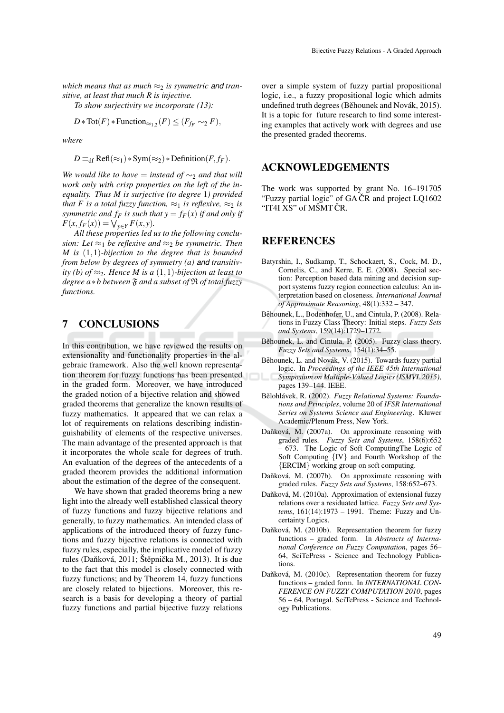*which means that as much*  $\approx_2$  *is symmetric and transitive, at least that much R is injective.*

*To show surjectivity we incorporate (13):*

$$
D * \text{Tot}(F) * \text{Function}_{\approx_{1,2}}(F) \leq (F_{f_F} \sim_2 F),
$$

*where*

$$
D \equiv_{\text{df}} \text{Refl}(\approx_1) * \text{Sym}(\approx_2) * \text{Definition}(F, f_F).
$$

*We would like to have* = *instead of*  $\sim_2$  *and that will work only with crisp properties on the left of the inequality. Thus M is surjective (to degree* 1*) provided that F is a total fuzzy function,*  $\approx_1$  *is reflexive,*  $\approx_2$  *is symmetric and*  $f_F$  *is such that*  $y = f_F(x)$  *<i>if and only if*  $F(x, f_F(x)) = \bigvee_{y \in Y} F(x, y).$ 

*All these properties led us to the following conclusion:* Let  $\approx_1$  *be reflexive and*  $\approx_2$  *be symmetric. Then M is* (1,1)*-bijection to the degree that is bounded from below by degrees of symmetry (a) and transitivity (b) of*  $\approx_2$ *. Hence M is a (1,1)-bijection at least to degree a*∗*b between* F *and a subset of* R *of total fuzzy functions.*

# 7 CONCLUSIONS

In this contribution, we have reviewed the results on extensionality and functionality properties in the algebraic framework. Also the well known representation theorem for fuzzy functions has been presented in the graded form. Moreover, we have introduced the graded notion of a bijective relation and showed graded theorems that generalize the known results of fuzzy mathematics. It appeared that we can relax a lot of requirements on relations describing indistinguishability of elements of the respective universes. The main advantage of the presented approach is that it incorporates the whole scale for degrees of truth. An evaluation of the degrees of the antecedents of a graded theorem provides the additional information about the estimation of the degree of the consequent.

We have shown that graded theorems bring a new light into the already well established classical theory of fuzzy functions and fuzzy bijective relations and generally, to fuzzy mathematics. An intended class of applications of the introduced theory of fuzzy functions and fuzzy bijective relations is connected with fuzzy rules, especially, the implicative model of fuzzy rules (Daňková, 2011; Štěpnička M., 2013). It is due to the fact that this model is closely connected with fuzzy functions; and by Theorem 14, fuzzy functions are closely related to bijections. Moreover, this research is a basis for developing a theory of partial fuzzy functions and partial bijective fuzzy relations over a simple system of fuzzy partial propositional logic, i.e., a fuzzy propositional logic which admits undefined truth degrees (Běhounek and Novák, 2015). It is a topic for future research to find some interesting examples that actively work with degrees and use the presented graded theorems.

### ACKNOWLEDGEMENTS

The work was supported by grant No. 16–191705 "Fuzzy partial logic" of  $GA$  $CR$  and project  $LQ1602$ "IT4I XS" of MŠMT ČR.

### **REFERENCES**

- Batyrshin, I., Sudkamp, T., Schockaert, S., Cock, M. D., Cornelis, C., and Kerre, E. E. (2008). Special section: Perception based data mining and decision support systems fuzzy region connection calculus: An interpretation based on closeness. *International Journal of Approximate Reasoning*, 48(1):332 – 347.
- Běhounek, L., Bodenhofer, U., and Cintula, P. (2008). Relations in Fuzzy Class Theory: Initial steps. *Fuzzy Sets and Systems*, 159(14):1729–1772.
- Běhounek, L. and Cintula, P. (2005). Fuzzy class theory. *Fuzzy Sets and Systems*, 154(1):34–55.
- Běhounek, L. and Novák, V. (2015). Towards fuzzy partial logic. In *Proceedings of the IEEE 45th International Symposium on Multiple-Valued Logics (ISMVL 2015)*, pages 139–144. IEEE.
- Bělohlávek, R. (2002). Fuzzy Relational Systems: Founda*tions and Principles*, volume 20 of *IFSR International Series on Systems Science and Engineering*. Kluwer Academic/Plenum Press, New York.
- Daňková, M. (2007a). On approximate reasoning with graded rules. *Fuzzy Sets and Systems*, 158(6):652 – 673. The Logic of Soft ComputingThe Logic of Soft Computing {IV} and Fourth Workshop of the {ERCIM} working group on soft computing.
- Daňková, M. (2007b). On approximate reasoning with graded rules. *Fuzzy Sets and Systems*, 158:652–673.
- Daňková, M. (2010a). Approximation of extensional fuzzy relations over a residuated lattice. *Fuzzy Sets and Systems*, 161(14):1973 – 1991. Theme: Fuzzy and Uncertainty Logics.
- Daňková, M. (2010b). Representation theorem for fuzzy functions – graded form. In *Abstracts of International Conference on Fuzzy Computation*, pages 56– 64, SciTePress - Science and Technology Publications.
- Daňková, M. (2010c). Representation theorem for fuzzy functions – graded form. In *INTERNATIONAL CON-FERENCE ON FUZZY COMPUTATION 2010*, pages 56 – 64, Portugal. SciTePress - Science and Technology Publications.